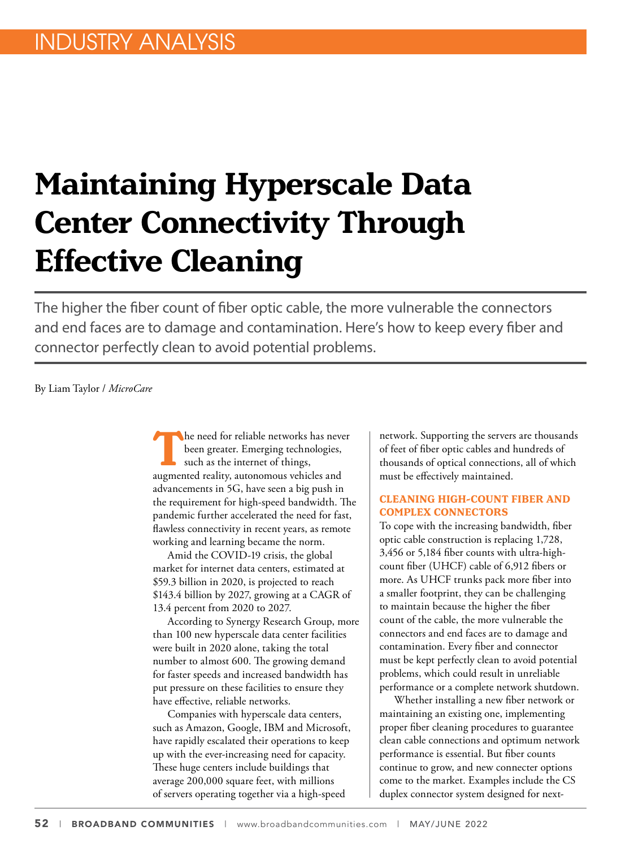# **Maintaining Hyperscale Data Center Connectivity Through Effective Cleaning**

The higher the fiber count of fiber optic cable, the more vulnerable the connectors and end faces are to damage and contamination. Here's how to keep every fiber and connector perfectly clean to avoid potential problems.

By Liam Taylor / *MicroCare*

The need for reliable networks has never<br>been greater. Emerging technologies,<br>such as the internet of things,<br>augmented reality autonomous vehicles and been greater. Emerging technologies, such as the internet of things, augmented reality, autonomous vehicles and advancements in 5G, have seen a big push in the requirement for high-speed bandwidth. The pandemic further accelerated the need for fast, flawless connectivity in recent years, as remote working and learning became the norm.

Amid the COVID-19 crisis, the global market for internet data centers, estimated at \$59.3 billion in 2020, is projected to reach \$143.4 billion by 2027, growing at a CAGR of 13.4 percent from 2020 to 2027.

According to Synergy Research Group, more than 100 new hyperscale data center facilities were built in 2020 alone, taking the total number to almost 600. The growing demand for faster speeds and increased bandwidth has put pressure on these facilities to ensure they have effective, reliable networks.

Companies with hyperscale data centers, such as Amazon, Google, IBM and Microsoft, have rapidly escalated their operations to keep up with the ever-increasing need for capacity. These huge centers include buildings that average 200,000 square feet, with millions of servers operating together via a high-speed

network. Supporting the servers are thousands of feet of fiber optic cables and hundreds of thousands of optical connections, all of which must be effectively maintained.

#### **CLEANING HIGH-COUNT FIBER AND COMPLEX CONNECTORS**

To cope with the increasing bandwidth, fiber optic cable construction is replacing 1,728, 3,456 or 5,184 fiber counts with ultra-highcount fiber (UHCF) cable of 6,912 fibers or more. As UHCF trunks pack more fiber into a smaller footprint, they can be challenging to maintain because the higher the fiber count of the cable, the more vulnerable the connectors and end faces are to damage and contamination. Every fiber and connector must be kept perfectly clean to avoid potential problems, which could result in unreliable performance or a complete network shutdown.

Whether installing a new fiber network or maintaining an existing one, implementing proper fiber cleaning procedures to guarantee clean cable connections and optimum network performance is essential. But fiber counts continue to grow, and new connecter options come to the market. Examples include the CS duplex connector system designed for next-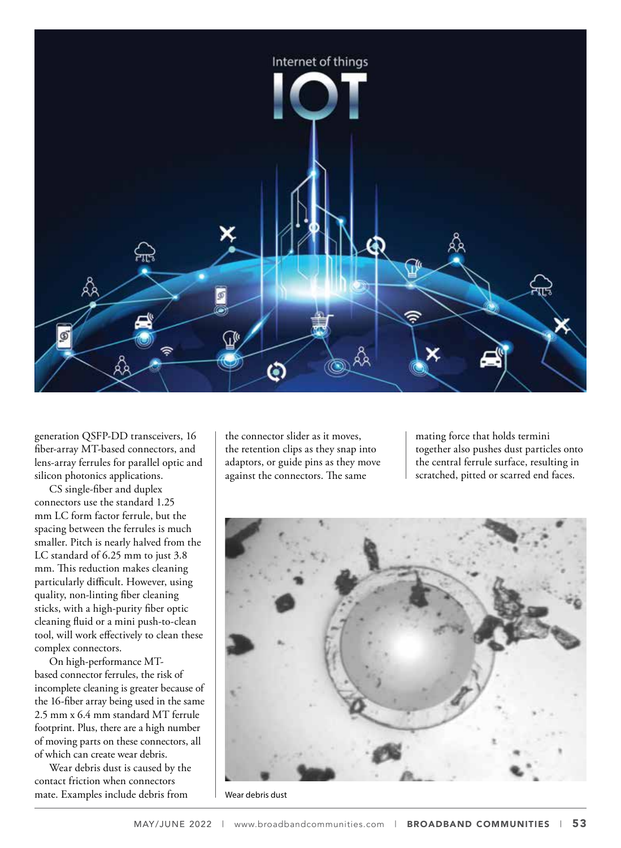

generation QSFP-DD transceivers, 16 fiber-array MT-based connectors, and lens-array ferrules for parallel optic and silicon photonics applications.

CS single-fiber and duplex connectors use the standard 1.25 mm LC form factor ferrule, but the spacing between the ferrules is much smaller. Pitch is nearly halved from the LC standard of 6.25 mm to just 3.8 mm. This reduction makes cleaning particularly difficult. However, using quality, non-linting fiber cleaning sticks, with a high-purity fiber optic cleaning fluid or a mini push-to-clean tool, will work effectively to clean these complex connectors.

On high-performance MTbased connector ferrules, the risk of incomplete cleaning is greater because of the 16-fiber array being used in the same 2.5 mm x 6.4 mm standard MT ferrule footprint. Plus, there are a high number of moving parts on these connectors, all of which can create wear debris.

Wear debris dust is caused by the contact friction when connectors mate. Examples include debris from

the connector slider as it moves, the retention clips as they snap into adaptors, or guide pins as they move against the connectors. The same

mating force that holds termini together also pushes dust particles onto the central ferrule surface, resulting in scratched, pitted or scarred end faces.



Wear debris dust